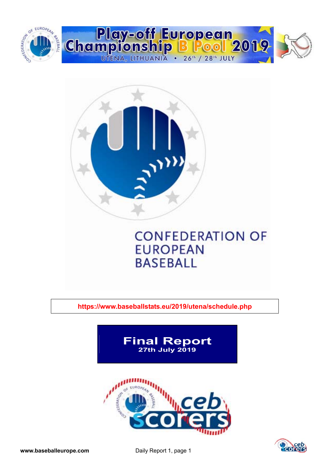



**https://www.baseballstats.eu/2019/utena/schedule.php** 



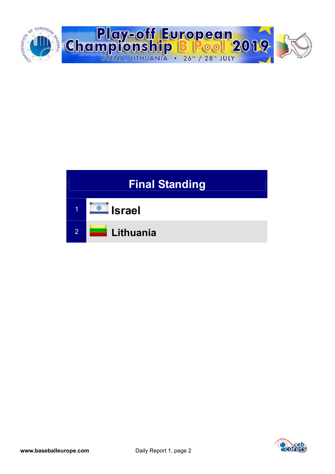



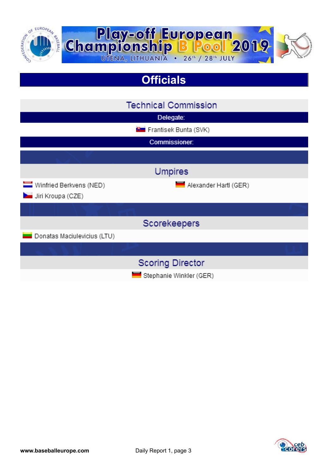

## **Officials**

|                                              | <b>Technical Commission</b>    |
|----------------------------------------------|--------------------------------|
|                                              | Delegate:                      |
|                                              | <b>B</b> Frantisek Bunta (SVK) |
|                                              | Commissioner:                  |
|                                              |                                |
|                                              | <b>Umpires</b>                 |
| Winfried Berkvens (NED)<br>Jiri Kroupa (CZE) | Alexander Hartl (GER)          |
|                                              |                                |
|                                              | Scorekeepers                   |
| Donatas Maciulevicius (LTU)                  |                                |
|                                              |                                |
|                                              | <b>Scoring Director</b>        |
|                                              | Stephanie Winkler (GER)        |

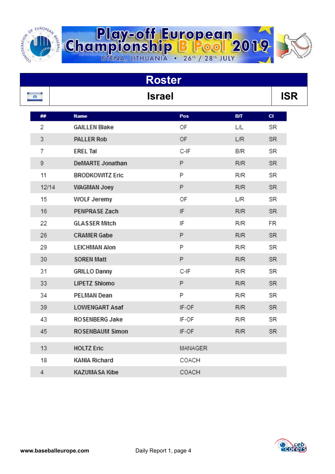

|       |                        | <b>Roster</b> |            |            |  |
|-------|------------------------|---------------|------------|------------|--|
| n.    |                        | <b>Israel</b> |            | <b>ISR</b> |  |
| ##    | <b>Name</b>            | Pos           | BЛ         | <b>CI</b>  |  |
| 2     | <b>GAILLEN Blake</b>   | ОF            | L/L        | SR         |  |
| 3     | PALLER Rob             | 0F            | <b>L/R</b> | SR.        |  |
| 7     | <b>EREL Tal</b>        | C-IF          | B/R        | SR         |  |
| 9     | DeMARTE Jonathan       | P             | <b>R/R</b> | SR.        |  |
| 11    | <b>BRODKOWITZ Eric</b> | P             | R/R        | SR         |  |
| 12/14 | WAGMAN Joey            | P             | R/R        | SR         |  |
| 15    | WOLF Jeremy            | ОF            | L/R        | SR         |  |
| 16    | PENPRASE Zach          | IF            | <b>R/R</b> | SR.        |  |
| 22    | <b>GLASSER Mitch</b>   | IF            | R/R        | FR         |  |
| 26    | <b>CRAMER Gabe</b>     | P             | <b>R/R</b> | SR.        |  |
| 29    | <b>LEICHMAN Alon</b>   | P             | R/R        | SR         |  |
| 30    | <b>SOREN Matt</b>      | P             | <b>R/R</b> | SR.        |  |
| 31    | <b>GRILLO Danny</b>    | C-IF          | R/R        | SR         |  |
| 33    | LIPETZ Shlomo          | P             | <b>R/R</b> | SR.        |  |
| 34    | PELMAN Dean            | P             | R/R        | SR         |  |
| 39    | <b>LOWENGART Asaf</b>  | IF-OF         | <b>R/R</b> | SR.        |  |
| 43    | ROSENBERG Jake         | IF-OF         | <b>R/R</b> | SR         |  |
| 45    | ROSENBAUM Simon        | IF-OF         | R/R        | <b>SR</b>  |  |
| 13    | <b>HOLTZ Eric</b>      | MANAGER       |            |            |  |
| 18    | <b>KANIA Richard</b>   | COACH         |            |            |  |
| 4     | <b>KAZUMASA Kibe</b>   | COACH         |            |            |  |

**Play-off European**<br>Championship B Pool 2019

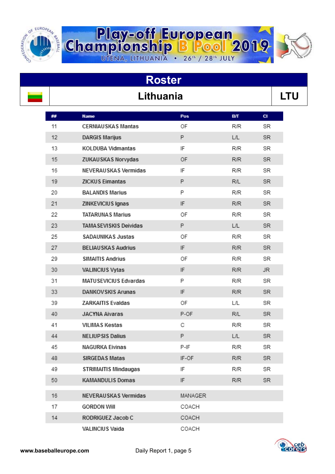

# Lithuania **LTU**

**Roster** 

**Play-off European**<br>Championship B Pool 2019

| ## | <b>Name</b>                 | Pos                        | <b>B/T</b> | <b>CI</b> |
|----|-----------------------------|----------------------------|------------|-----------|
| 11 | <b>CERNIAUSKAS Mantas</b>   | ΟF                         | R/R        | SR        |
| 12 | <b>DARGIS Marijus</b>       | P                          | L/L        | SR.       |
| 13 | KOLDUBA Vidmantas           | IF                         | R/R        | SR        |
| 15 | ZUKAUSKAS Norvydas          | OF                         | R/R        | SR.       |
| 16 | NEVERAUSKAS Vermidas        | IF                         | R/R        | SR        |
| 19 | <b>ZICKUS Eimantas</b>      | P                          | R/L        | SR.       |
| 20 | <b>BALANDIS Marius</b>      | P                          | R/R        | SR        |
| 21 | ZINKEVICIUS Ignas           | $\ensuremath{\mathsf{IF}}$ | R/R        | SR.       |
| 22 | <b>TATARUNAS Marius</b>     | OF                         | R/R        | SR        |
| 23 | TAMA SEVISKIS Deividas      | P                          | L/L        | SR.       |
| 25 | SADAUNIKAS Justas           | OF                         | R/R        | SR        |
| 27 | <b>BELIAUSKAS Audrius</b>   | IF                         | R/R        | SR.       |
| 29 | <b>SIMAITIS Andrius</b>     | OF                         | R/R        | SR        |
| 30 | VALINCIUS Vytas             | IF                         | <b>R/R</b> | JR.       |
| 31 | MATUSEVICIUS Edvardas       | P                          | R/R        | SR        |
| 33 | <b>DANKOVSKIS Arunas</b>    | IF                         | <b>R/R</b> | SR.       |
| 39 | <b>ZARKAITIS Evaldas</b>    | ОF                         | L/L        | SR        |
| 40 | <b>JACYNA Aivaras</b>       | P-OF                       | R/L        | SR        |
| 41 | VILIMAS Kestas              | С                          | R/R        | SR        |
| 44 | <b>NELIUPSIS Dalius</b>     | P                          | L/L        | SR.       |
| 45 | <b>NAGURKA Eivinas</b>      | P-IF                       | R/R        | SR        |
| 48 | <b>SIRGEDAS Matas</b>       | IF-OF                      | R/R        | SR.       |
| 49 | <b>STRIMAITIS Mindaugas</b> | IF                         | R/R        | SR        |
| 50 | <b>KAMANDULIS Domas</b>     | IF                         | R/R        | SR.       |
| 16 | NEVERAUSKAS Vermidas        | MANAGER                    |            |           |
| 17 | <b>GORDON Will</b>          | COACH                      |            |           |
| 14 | RODRIGUEZ Jacob C           | COACH                      |            |           |
|    | VALINCIUS Vaida             | COACH                      |            |           |

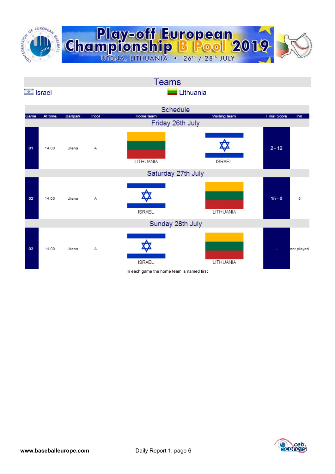

|                 |         |          |      | <b>Teams</b>       |               |                    |            |
|-----------------|---------|----------|------|--------------------|---------------|--------------------|------------|
| <b>E</b> Israel |         |          |      | <b>Lithuania</b>   |               |                    |            |
|                 |         |          |      | Schedule           |               |                    |            |
| Game            | At time | Ballpark | Pool | Home team          | Visiting team | <b>Final Score</b> | Inn        |
|                 |         |          |      | Friday 26th July   |               |                    |            |
| 01              | 14:00   | Utena    | Α    | LITHUANIA          | <b>ISRAEL</b> | $2 - 12$           |            |
|                 |         |          |      | Saturday 27th July |               |                    |            |
| 02              | 14:00   | Utena    | Α    | <b>ISRAEL</b>      | LITHUANIA     | $15 - 0$           | 5          |
|                 |         |          |      | Sunday 28th July   |               |                    |            |
| 03              | 14:00   | Utena    | Α    | <b>ISRAEL</b>      | LITHUANIA     |                    | not played |

In each game the home team is named first

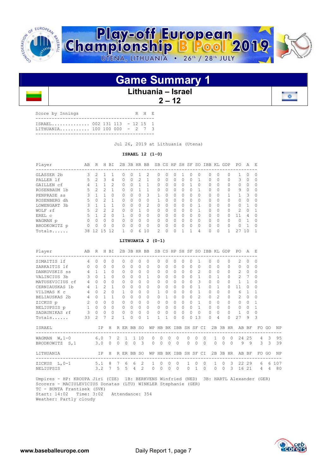

### **Game Summary 1**

#### **Lithuania – Israel**

 **2 – 12** 

| Score by Innings                                              |  |  | R H E |  |
|---------------------------------------------------------------|--|--|-------|--|
| ISRAEL 002 131 113 - 12 15 1<br>LITHUANIA 100 100 000 - 2 7 3 |  |  |       |  |
|                                                               |  |  |       |  |

Jul 26, 2019 at Lithuania (Utena)

 **ISRAEL 12 (1-0)** 

| Player       | AВ | R              | Н  | ВI            | 2B       | 3B        | HR.          | BB            |   |                  | SB CS HP         | SH | SF       | -SO          | IBB              | KL        | GDP       | PO.          | Α        | E,       |
|--------------|----|----------------|----|---------------|----------|-----------|--------------|---------------|---|------------------|------------------|----|----------|--------------|------------------|-----------|-----------|--------------|----------|----------|
| GLASSER 2b   | 3  | 2              |    |               | $^{(1)}$ | $\Omega$  |              |               | 0 | $\left( \right)$ | $\left( \right)$ |    | $^{(1)}$ | $\Omega$     | $\left( \right)$ | $\cup$    | $\Omega$  |              | 0        | $\left($ |
| PALLER 1f    | 5. | $\mathfrak{D}$ | 3  | 4             | 0        | $\Omega$  |              |               | 0 | 0                | $\Omega$         |    | 0        |              | 0                |           | $\Omega$  | 3            | $\Omega$ |          |
| GAILLEN cf   | 4  |                |    | $\mathcal{P}$ | 0        | $\Omega$  |              |               | Ω | 0                | $\bigcap$        | n  |          | $\bigcap$    | O.               | $\Omega$  | $\bigcap$ | 0            | $\Omega$ |          |
| ROSENBAUM 1b | 5. | 2              | 2  |               | O        | $\Omega$  |              |               | 0 | <sup>0</sup>     | $\bigcap$        | O  | O        |              | O.               | $\Omega$  | $\Omega$  | 9            | $\Omega$ | $\Box$   |
| PENPRASE ss  |    |                |    | O             | U        | $\Omega$  |              | 3             |   |                  | $\bigcap$        |    | 0        | $\Omega$     | 0                |           |           |              | 3        |          |
| ROSENBERG dh | 5. | <sup>0</sup>   |    | $\mathbf{1}$  | O        | $\Omega$  |              | O             |   |                  | $\bigcap$        |    | O        | $\Omega$     | $\Omega$         |           | $\bigcap$ | O.           | O        |          |
| LOWENGART 3b | 3  |                |    |               | U        | $\bigcap$ | <sup>n</sup> | $\mathcal{L}$ | O | U                | $\bigcap$        | U  | 0        |              | O.               | $\bigcap$ | $\bigcap$ | <sup>n</sup> |          |          |
| WOLF rf      | 5. | 2              |    | 2             | U        | $\Omega$  |              | 0             | Ω |                  | $\bigcap$        |    | O        |              | 0                | $\Omega$  | $\Omega$  | 2            | $\Omega$ |          |
| EREL C       | 5  |                |    | $\Omega$      |          | $\Omega$  | U            | $\Omega$      | U |                  | $\cap$           |    | O        | $\cap$       | $\Omega$         | $\Omega$  | $\cap$    | 11           | 4        |          |
| WAGMAN p     | O. | $\cap$         | U  | $\Omega$      | 0        | $\bigcap$ | <sup>n</sup> | $\Omega$      | O | U                | $\bigcap$        | U  | 0        | <sup>0</sup> | O.               | $\bigcap$ | $\bigcap$ | n.           |          |          |
| BRODKOWITZ p | 0  | U              | Λ  | O             | U        | $\Omega$  |              | 0             | Ω |                  | $\cap$           |    | O        | <sup>0</sup> | O.               | $\cap$    | $\Omega$  | U.           |          |          |
| Totals       | 38 | 12             | 15 |               |          | 0         | 6            | 10            | 2 | 0                | $\Omega$         |    |          | 4            | 0                |           |           | 27           | 10       |          |

 **LITHUANIA 2 (0-1)** 

| Player<br>--------------------------------- | AB             | R             | H              | BI             | 2B       |              | 3B HR BB   |                    |          |                      |                      | SB CS HP SH SF        |           |               |                |                      | SO IBB KL GDP |                      |          | PO.            | A           | E.              |               |             |
|---------------------------------------------|----------------|---------------|----------------|----------------|----------|--------------|------------|--------------------|----------|----------------------|----------------------|-----------------------|-----------|---------------|----------------|----------------------|---------------|----------------------|----------|----------------|-------------|-----------------|---------------|-------------|
| SIMAITIS 1f                                 | $\overline{4}$ | $\Omega$      | $\bigcap$      | $\Omega$       |          | $\Omega$     | $\bigcap$  | 0                  | $\Omega$ | $\bigcap$            | <sup>0</sup>         | $\bigcap$             |           | $\Omega$      |                |                      |               | $\Omega$             | $\Omega$ | $\mathcal{L}$  | 0           | $\Box$          |               |             |
| ZARKAITIS 1f                                |                | $\Omega$      | $\Omega$       | $\Omega$       |          | $\Omega$     | $\Omega$   | $\Omega$           | $\Omega$ | $\Omega$             | $\Omega$             | $\Omega$              | $\Omega$  | $\Omega$      | $\Omega$       |                      | $\Omega$      | $\Omega$             | $\Omega$ | $\Omega$       | $\Omega$    | $\Omega$        |               |             |
| DANKOVSKIS ss                               | $\overline{4}$ |               |                | $\Omega$       |          | $\Omega$     | $\Omega$   | $\Omega$           | $\Omega$ | $\Omega$             | $\Omega$             | $\Omega$              | $\Omega$  | $\Omega$      | $\mathfrak{D}$ |                      | $\Omega$      | $\Omega$             | 0        | $\overline{c}$ | $\Omega$    | $\Omega$        |               |             |
| VALINCIUS 3b                                | 3              | $\Omega$      |                | $\Omega$       |          | $\Omega$     | $\Omega$   | $\Omega$           | 1        | $\Omega$             | $\Omega$             | $\Omega$              | $\Omega$  | $\Omega$      | 1              |                      | $\Omega$      |                      | $\Omega$ | $\overline{2}$ | 7           | $\bigcap$       |               |             |
| MATUSEVICIUS cf                             | 4              | $\Omega$      | $\cap$         | $\Omega$       |          | $\Omega$     | $\Omega$   | $\Omega$           | $\Omega$ | $\Omega$             | $\Omega$             | $\bigcap$             | $\Omega$  | $\Omega$      | $\mathcal{L}$  |                      | $\Omega$      | $\Omega$             | $\Omega$ |                |             | $\Omega$        |               |             |
| CERNIAUSKAS 1b                              | 4              |               | $\mathcal{P}$  | 1              |          | $\Omega$     | $\cap$     | $\Omega$           | $\cap$   | $\cap$               | $\Omega$             | $\bigcap$             | $\Omega$  | $\Omega$      | $\mathbf{1}$   |                      | $\Omega$      |                      | $\cap$   | 11             | U           | ∩               |               |             |
| VILIMAS K C                                 | 4              | $\Omega$      | $\mathfrak{D}$ | $\Omega$       |          |              | $\Omega$   | $\Omega$           | $\Omega$ |                      | $\Omega$             | $\bigcap$             | $\Omega$  | $\Omega$      | 1              |                      | $\Omega$      | $\Omega$             | $\cap$   | 6              |             |                 |               |             |
| BELIAUSKAS 2b                               | $\overline{4}$ | $\Omega$      |                | 1              |          | $\Omega$     | $\cap$     | 0                  | $\Omega$ | $\cap$               | 1                    | $\bigcap$             | $\Omega$  | $\Omega$      | $\mathcal{L}$  |                      | $\Omega$      | $\mathfrak{D}$       | $\Omega$ | $\mathfrak{D}$ | $\Omega$    | U               |               |             |
| ZICKUS p                                    | 2              | $\Omega$      | $\cap$         | $\Omega$       |          | $\Omega$     | $\Omega$   | 0                  | $\Omega$ | $\Omega$             | $\Omega$             | $\bigcap$             | $\bigcap$ | $\Omega$      | 1              |                      | $\Omega$      | $\Omega$             | $\cap$   | $\Omega$       | $\Omega$    |                 |               |             |
| NELIUPSIS p                                 | $\mathbf{1}$   | $\Omega$      | $\Omega$       | $\Omega$       |          | $\Omega$     | $\Omega$   | 0                  | $\Omega$ | $\Omega$             | $\Omega$             | $\bigcap$             | $\bigcap$ | $\Omega$      | $\mathbf{1}$   |                      | $\Omega$      | $\Omega$             | $\Omega$ | $\Omega$       | 0           |                 |               |             |
| SADAUNIKAS rf                               | 3              | $\Omega$      | $\Omega$       | $\Omega$       |          | $\Omega$     | $\Omega$   | 0                  | $\Omega$ | $\Omega$             | $\Omega$             | $\bigcap$             | $\bigcap$ | $\Omega$      | $\Omega$       |                      | $\Omega$      | $\Omega$             | $\cap$   | 1              | 0           | <sup>0</sup>    |               |             |
| Totals                                      | 33             | $\mathcal{L}$ | 7              | $\mathfrak{D}$ |          | 1.           | $\bigcap$  | 0                  | 1        | $\overline{1}$       | 1.                   | $\cap$                | $\cap$    | $\Omega$      | 13             |                      | $\cap$        | 4                    | $\cap$   | 27             | 9           | 3               |               |             |
| ISRAEL<br>-----------------                 |                |               | ΙP             | H              |          |              | R ER BB SO |                    |          |                      |                      | WP HB BK IBB SH SF CI |           |               |                |                      |               |                      | 2B 3B HR |                | AB BF       |                 | FO GO         | ΝP          |
| WAGMAN $W, 1-0$                             |                |               | 6.07           |                | -2       | $\mathbf{1}$ |            | 1 10               | $\Omega$ | $\Omega$             | $\Omega$             | $\Omega$              |           | $\Omega$      | $\Omega$       | $\Omega$             | $\mathbf{1}$  | $\Omega$             | $\Omega$ |                | 24 25       | $\overline{4}$  | 3             | 95          |
| BRODKOWITZ S, 1                             |                | 3.0           |                | $\Omega$       | $\Omega$ | $\Omega$     | $\Omega$   | $\mathbf{3}$       | 0        | $\Omega$             | $\Omega$             | $\Omega$              |           | $\Omega$      | $\Omega$       | $\Omega$             | $\Omega$      | $\Omega$             | $\Omega$ | 9              | 9           | 3               | $\mathcal{R}$ | 39          |
| <b>LITHUANIA</b>                            |                | IP            |                | H              |          |              | R ER BB SO |                    | WP       | HB                   |                      | BK IBB SH SF CI       |           |               |                |                      |               |                      | 2B 3B HR |                | AB BF       | FO.<br>-------- | GO            | <b>NP</b>   |
| ZICKUS L, 0-1<br>NELIUPSIS                  |                | 3.2           | $5.1 \quad 8$  |                | 5.       | 6<br>5.      | 6<br>4     | $\mathcal{L}$<br>2 | 1.<br>0  | $\Omega$<br>$\Omega$ | $\Omega$<br>$\Omega$ | $\Omega$<br>$\Omega$  |           | 1<br>$\Omega$ | $\Omega$       | $\Omega$<br>$\Omega$ | $\Omega$      | $\Omega$<br>$\Omega$ | 3<br>3   | 16             | 22 29<br>21 | 6<br>4          | 4             | 6 107<br>80 |

 Umpires - HP: KROUPA Jiri (CZE) 1B: BERKVENS Winfried (NED) 3B: HARTL Alexander (GER) Scorers - MACIULEVICIUS Donatas (LTU) WINKLER Stephanie (GER) TC - BUNTA Frantisek (SVK) Start: 14:02 Time: 3:02 Attendance: 354





 $\sim$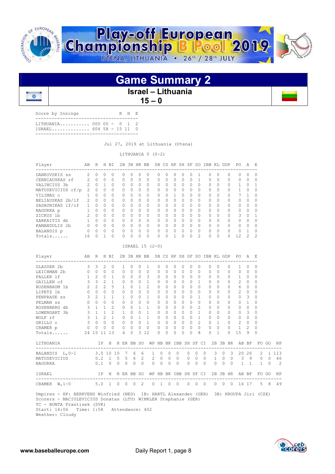

### **Game Summary 2 Israel – Lithuania**   $15 - 0$

| Score by Innings                                      |  |  | R H E |  |
|-------------------------------------------------------|--|--|-------|--|
| LITHUANIA 000 00 - 0 1 2<br>$ISRAEL$ 604 5X - 15 11 0 |  |  |       |  |
|                                                       |  |  |       |  |

 $\overline{0}$ 

Jul 27, 2019 at Lithuania (Utena)

LITHUANIA 0 (0-2)

| Player                   | AВ            | R            | H         | <b>BT</b> | 2B       |              | 3B HR BB  |           |           |              |           |              |              |               | SB CS HP SH SF SO IBB KL |           | GDP          | PO.          | A             | - F       |
|--------------------------|---------------|--------------|-----------|-----------|----------|--------------|-----------|-----------|-----------|--------------|-----------|--------------|--------------|---------------|--------------------------|-----------|--------------|--------------|---------------|-----------|
| DANKOVSKIS ss            |               | $\Omega$     | 0         | $\bigcap$ | 0        | $\Omega$     | $\Omega$  | $\Omega$  | $\bigcap$ | 0            | $\Box$    | 0            | 0            |               | 0                        | $\Omega$  | $\Omega$     | $\cap$       | $\bigcap$     | $\bigcap$ |
| CERNIAUSKAS rf           |               | $\Omega$     | $\Omega$  | $\Omega$  | $\Omega$ | $\Omega$     | $\Omega$  | $\Omega$  | O.        | 0            | $\Omega$  | 0            | $\Omega$     |               | 0                        | $\Omega$  | $\Omega$     | $\Omega$     | 0             |           |
| VALINCIUS 3b             | 2             | $\Omega$     |           | $\Omega$  | 0        | $\bigcap$    | $\Omega$  | $\Omega$  | O.        | 0            | $\bigcap$ | n.           | $\bigcap$    | <sup>0</sup>  | 0                        | $\Omega$  | $\Omega$     | $\mathbf{1}$ | $\bigcap$     |           |
| MATUSEVICIUS cf/p        | $\mathcal{L}$ | <sup>0</sup> | $\bigcap$ | $\Omega$  | 0        | $\Omega$     | $\bigcap$ | $\Omega$  | U         | 0            | $\Omega$  | $\Omega$     | $\Omega$     | $\Omega$      | 0                        | $\Omega$  | $\Omega$     |              | <sup>0</sup>  |           |
| VILIMAS c                |               | <sup>0</sup> | $\bigcap$ | $\Omega$  | 0        | $\Omega$     | $\Omega$  | $\Omega$  | U         | 0            |           | ∩            | $\bigcap$    | $\Omega$      | 0                        | $\Omega$  | $\Omega$     | 7            |               | ∩         |
| BELIAUSKAS 2b/lf         | $\mathcal{P}$ | $\Omega$     | $\Omega$  | $\Omega$  | 0        | $\Omega$     | $\Omega$  | $\Omega$  | O         | 0            | $\Omega$  | 0            | 0            | $\Omega$      | 0                        | $\Omega$  | $\Omega$     | $\Omega$     | O             |           |
| SADAUNIKAS lf/cf         |               | $\Omega$     | $\bigcap$ | $\Omega$  | $\Omega$ | $\bigcap$    | $\Omega$  | $\Omega$  | $\cap$    | 0            | $\bigcap$ | $\cap$       | $\bigcap$    | <sup>0</sup>  | O.                       | $\Omega$  | $\Omega$     | $\cap$       | $\bigcap$     | ∩         |
| NAGURKA p                |               | $\Omega$     | $\bigcap$ | $\Omega$  | 0        | $\Omega$     | $\Omega$  | $\Omega$  | O         | 0            | $\bigcap$ | 0            | $\bigcap$    | $\Omega$      | Ω                        | $\Omega$  | $\Omega$     | $\Omega$     | <sup>0</sup>  |           |
| ZICKUS 1b                | $\mathcal{P}$ | $\Omega$     | $\bigcap$ | $\bigcap$ | 0        | $\bigcap$    | $\cap$    | $\bigcap$ | $\cap$    | 0            | $\bigcap$ | $\cap$       | $\bigcap$    | <sup>0</sup>  | 0                        | $\Omega$  | $\bigcap$    | 3            | $\cap$        |           |
| ZARKAITIS dh             |               | $\Omega$     | $\bigcap$ | $\Omega$  | $\Omega$ | $\Omega$     | $\Omega$  | $\Omega$  | U         | $\Omega$     | $\bigcap$ | $\cap$       | $\bigcap$    | $\Omega$      | O                        | $\Omega$  | $\Omega$     | $\Omega$     | <sup>0</sup>  |           |
| KAMANDULIS <sub>2b</sub> |               | $\Omega$     | $\bigcap$ | $\bigcap$ | 0        | <sup>0</sup> | $\Omega$  | $\bigcap$ | U         | <sup>0</sup> | $\bigcap$ | <sup>n</sup> | $\Omega$     | <sup>0</sup>  | Ω                        | $\Omega$  | $\bigcap$    | $\cap$       | $\Omega$      | ∩         |
| BALANDIS p               |               | $\Omega$     | $\bigcap$ | $\Omega$  | $\Omega$ | $\cap$       | $\Omega$  | $\Omega$  | U         | <sup>0</sup> | $\bigcap$ | U            | <sup>0</sup> | <sup>0</sup>  | Ω                        | $\Omega$  | $\Omega$     | $\cap$       |               |           |
| Totals                   | 16            |              |           | $\Omega$  | 0        |              |           | $\Omega$  | U         | O            |           |              | <sup>0</sup> | $\mathcal{L}$ |                          | $\bigcap$ | <sup>n</sup> | 12.          | $\mathcal{P}$ | っ         |

#### ISRAEL 15 (2-0)

| Player<br>----------------------------------                                                                                                                                                                                    |                                                      | AB R H BI           |   |                |                |                     |              |                                                         |                   |          |           |          |             |                |                |            |                |                | 2B 3B HR BB SB CS HP SH SF SO IBB KL GDP PO A E      |               |           |             |                |
|---------------------------------------------------------------------------------------------------------------------------------------------------------------------------------------------------------------------------------|------------------------------------------------------|---------------------|---|----------------|----------------|---------------------|--------------|---------------------------------------------------------|-------------------|----------|-----------|----------|-------------|----------------|----------------|------------|----------------|----------------|------------------------------------------------------|---------------|-----------|-------------|----------------|
| GLASSER 2b                                                                                                                                                                                                                      | $\mathcal{E}$                                        | 3                   | 2 | $\mathbf{0}$   | $\mathbf{1}$   | $\Omega$            | 0            | $\mathbf{1}$                                            | $\circ$           | 0        | $\circ$   | $\Omega$ | $\mathbf 0$ | 0              |                | $\Omega$   | $\Omega$       | $\mathbf{0}$   | $\mathbf{1}$                                         | $\Omega$      | $\Omega$  |             |                |
| LEICHMAN 2b 0 0 0                                                                                                                                                                                                               |                                                      |                     |   | $\Omega$       | $\Omega$       | $\Omega$            | $\Omega$     | $\Omega$                                                | $\Omega$          | $\Omega$ | $\Omega$  | $\Omega$ | $\Omega$    | $\bigcirc$     |                | $\Omega$   | $\Omega$       | $\Omega$       | $\Omega$                                             | $\Omega$      | $\Omega$  |             |                |
| PALLER 1f                                                                                                                                                                                                                       |                                                      | $1\quad2\quad0$     |   | $\overline{1}$ | $\Omega$       | $\Omega$            | $\Omega$     | 3                                                       | $\Omega$          | $\Omega$ | $\Omega$  | $\Omega$ | $\Omega$    | $\Omega$       |                | $\Omega$   | $\Omega$       | $\Omega$       | 1                                                    | $\Omega$      | $\Omega$  |             |                |
| GAILLEN cf                                                                                                                                                                                                                      |                                                      | $3 \quad 3 \quad 2$ |   | $\overline{1}$ | $\overline{0}$ | $\Omega$            | $\mathbf{0}$ | 1                                                       | $\mathbf{0}$      | $\Omega$ | $\Omega$  | $\Omega$ | $\Omega$    | $\overline{1}$ |                | $\Omega$   | $\Omega$       | $\Omega$       | $\overline{2}$                                       | $\Omega$      | $\Omega$  |             |                |
| ROSENBAUM 1b                                                                                                                                                                                                                    |                                                      | $2 \quad 2 \quad 2$ |   | 5              | $\mathbf{1}$   | $\cap$              | $\mathbf{1}$ | $\overline{2}$                                          | $\Omega$          | $\Omega$ | $\cap$    | $\Omega$ | $\Omega$    | $\bigcap$      |                | $\Omega$   | $\Omega$       | $\Omega$       | 6                                                    | $\Omega$      | $\bigcap$ |             |                |
| LIPETZ 1b                                                                                                                                                                                                                       |                                                      | $0\quad 0\quad 0$   |   | $\Omega$       | $\Omega$       | $\cap$              | $\Omega$     | $\Omega$                                                | $\Omega$          | $\Omega$ | $\bigcap$ | $\Omega$ | $\Omega$    | $\bigcap$      |                | $\Omega$   | $\Omega$       | $\Omega$       | $\overline{2}$                                       | $\Omega$      | $\bigcap$ |             |                |
| PENPRASE ss 3 2 1                                                                                                                                                                                                               |                                                      |                     |   | $\mathbf{1}$   | $\mathbf{1}$   | $\Omega$            | $\Omega$     | $\overline{1}$                                          | $\circ$           | $\Omega$ | $\cap$    | $\Omega$ | $\Omega$    | $\overline{1}$ |                | $\Omega$   | $\cap$         | 0              | $\Omega$                                             | 3             | $\Omega$  |             |                |
| $\begin{matrix} 0 & 0 & 0 \end{matrix}$<br>PELMAN SS                                                                                                                                                                            |                                                      |                     |   | $\Omega$       | $\Omega$       | $\Omega$            | $\Omega$     | $\overline{0}$                                          | $\Omega$          | $\Omega$ | $\cap$    | $\Omega$ | $\Omega$    | $\cap$         |                | $\Omega$   | $\cap$         | 0              | $\Omega$                                             | $\mathbf{1}$  | $\bigcap$ |             |                |
| ROSENBERG dh                                                                                                                                                                                                                    |                                                      | $3 \quad 1 \quad 1$ |   | 2              | $\circ$        | $\circ$             | $\mathbf{1}$ | 1                                                       | $\circ$           | $\Omega$ | $\cap$    | $\Omega$ |             | 0 <sub>2</sub> |                | $\Omega$   | $\cap$         | $\circ$        | $\circ$                                              | $\Omega$      | $\Omega$  |             |                |
| LOWENGART 3b                                                                                                                                                                                                                    |                                                      | $3 \quad 1 \quad 1$ |   | 2              | 1              | $\Omega$            | $\Omega$     | 1                                                       | $\Omega$          | $\Omega$ | $\bigcap$ | $\Omega$ | $\bigcap$   | $\sim$ 1       |                | $\Omega$   | $\cap$         | $\Omega$       | $\Omega$                                             | 3             | $\bigcap$ |             |                |
| WOLF rf                                                                                                                                                                                                                         |                                                      | $3 \t1 \t2$         |   | $\overline{1}$ |                |                     |              | $0 \t 0 \t 1 \t 1$                                      | $\Omega$          | $\Omega$ | $\cap$    | $\Omega$ |             | $0 \quad 1$    |                | $\Omega$   | $\cap$         | $\Omega$       | $\Omega$                                             | $\Omega$      | $\bigcap$ |             |                |
| GRILLO C 3 0 0 0                                                                                                                                                                                                                |                                                      |                     |   |                |                |                     |              | 0 0 0 1 0 0 0 0                                         |                   |          |           |          |             | $0 \t 2$       |                | $0\quad 1$ |                |                | $\begin{matrix} 0 & 2 & 0 \end{matrix}$              |               | $\Omega$  |             |                |
| CRAMER p 0 0                                                                                                                                                                                                                    |                                                      |                     |   | $0\quad 0$     |                |                     |              | $\begin{matrix} 0 & 0 & 0 & 0 & 0 & 0 & 0 \end{matrix}$ |                   |          |           | $\Omega$ | $\Omega$    | $\bigcirc$     |                | $\Omega$   | $\Omega$       | $\overline{0}$ | 1                                                    | $\mathcal{L}$ | $\bigcap$ |             |                |
| Totals                                                                                                                                                                                                                          |                                                      | 24 15 11 13         |   |                | $\overline{4}$ | $\Omega$            |              | 3 1 2                                                   | $\Omega$          | $\Omega$ | $\Omega$  | $\Omega$ | $\Omega$    | 8              |                | $\Omega$   | $\mathbf{1}$   | $\Omega$       | 1.5                                                  | 9             | $\Omega$  |             |                |
| LITHUANIA                                                                                                                                                                                                                       |                                                      |                     |   |                |                |                     |              |                                                         |                   |          |           |          |             |                |                |            |                |                | IP H R ER BB SO WP HB BK IBB SH SF CI 2B 3B HR AB BF |               |           | FO GO       | ΝP             |
| BALANDIS L, 0-1 3.0 10 10 7 6 6                                                                                                                                                                                                 |                                                      |                     |   |                |                |                     |              |                                                         | 1 0 0 0           |          |           |          | $\Omega$    | $\Omega$       | $\Omega$       |            |                |                | 3 0 3 20 26                                          |               |           |             | 2 1 1 1 3      |
| MATUSEVICIUS                                                                                                                                                                                                                    |                                                      |                     |   |                |                |                     |              | $0.2$ 1 5 5 6 2                                         | 2 0 0 0 0 0       |          |           |          |             |                |                |            |                |                | 0 1 0 0 3 9                                          |               |           |             | $0 \t 0 \t 46$ |
| NAGURKA                                                                                                                                                                                                                         |                                                      |                     |   |                |                | 0.1 0 0 0 0 0       |              |                                                         | $0\quad 0\quad 0$ |          | $\Omega$  |          | $0 \quad 0$ |                | $\Omega$       |            | $0 \quad 0$    | $\Omega$       | $1 \quad 1$                                          |               |           | $1 \quad 0$ | $\mathcal{L}$  |
| TSRAEL                                                                                                                                                                                                                          | IP H R ER BB SO WP HB BK IBB SH SF CI 2B 3B HR AB BF |                     |   |                |                |                     |              |                                                         |                   |          |           |          |             |                |                |            |                |                |                                                      |               |           | FO GO       | <b>NP</b>      |
| CRAMER W, 1-0 5.0 1 0                                                                                                                                                                                                           |                                                      |                     |   |                |                | $0 \quad 0 \quad 2$ |              |                                                         | $0 \t1 \t0 \t0$   |          |           |          | $0\quad 0$  |                | $\overline{0}$ | $\circ$    | $\overline{0}$ |                | 0 16 17                                              |               |           |             | 5 8 49         |
| Umpires - HP: BERKVENS Winfried (NED) 1B: HARTL Alexander (GER) 3B: KROUPA Jiri (CZE)<br>Scorers - MACIULEVICIUS Donatas (LTU) WINKLER Stephanie (GER)<br>TC - BUNTA Frantisek (SVK)<br>Start: 14:06 Time: 1:58 Attendance: 402 |                                                      |                     |   |                |                |                     |              |                                                         |                   |          |           |          |             |                |                |            |                |                |                                                      |               |           |             |                |

Weather: Cloudy

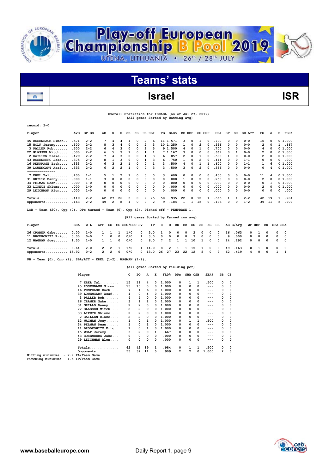

# **Teams' stats**

### **Israel** ISR

|                                                                                    | Overall Statistics for ISRAEL (as of Jul 27, 2019)<br>(All games Sorted by Batting avg) |                                        |                |                         |                         |                      |                    |                                      |                            |                |        |                  |                |                         |                  |                 |                      |              |          |    |                            |                |                  |      |
|------------------------------------------------------------------------------------|-----------------------------------------------------------------------------------------|----------------------------------------|----------------|-------------------------|-------------------------|----------------------|--------------------|--------------------------------------|----------------------------|----------------|--------|------------------|----------------|-------------------------|------------------|-----------------|----------------------|--------------|----------|----|----------------------------|----------------|------------------|------|
| record: 2-0                                                                        |                                                                                         |                                        |                |                         |                         |                      |                    |                                      |                            |                |        |                  |                |                         |                  |                 |                      |              |          |    |                            |                |                  |      |
| Player                                                                             | AVG                                                                                     | $GP - GS$                              | AB             | R                       | н                       | 2B                   | 3B                 | HR RBI                               |                            | TВ             | $SLG\$ | <b>BB HBP</b>    |                | SO GDP                  |                  | OB <sub>8</sub> | SF                   | SH           | $SB-ATT$ | PO | A                          | Е              | $\texttt{FLD\$}$ |      |
| 45 ROSENBAUM Simon                                                                 | .571                                                                                    | $2 - 2$                                | 7              | 4                       | 4                       | 1                    | 0                  | $\overline{2}$                       | 6                          | 11 1.571       |        | 3                | 0              | 1                       | 0                | .700            | 0                    | 0            | $0 - 0$  | 15 | 0                          |                | 01.000           |      |
| 15 WOLF Jeremy                                                                     | .500                                                                                    | $2 - 2$                                | 8              | 3                       | 4                       | 0                    | 0                  | $\overline{2}$                       | 3                          | 10 1.250       |        | 1                | 0              | $\overline{\mathbf{2}}$ | 0                | .556            | 0                    | 0            | $0 - 0$  |    | $\overline{2}$<br>0        | 1              |                  | .667 |
| 3 PALLER Rob                                                                       | .500                                                                                    | $2 - 2$                                | 6              | 4                       | 3                       | 0                    | 0                  | $\overline{2}$                       | 5                          | 9 1.500        |        | 4                | 0              | 1                       | 0                | .700            | 0                    | 0            | $0 - 0$  |    | 4<br>0                     |                | 01.000           |      |
| 22 GLASSER Mitch                                                                   | .500                                                                                    | $2 - 2$                                | 6              | 5                       | 3                       | $\mathbf{1}$         | 0                  | $\mathbf{1}$                         | 1                          | 7 1.167        |        | 3                | $\mathbf 0$    | 0                       | 0                | .667            | 0                    | $\mathbf{1}$ | $0 - 0$  |    | $\overline{2}$<br>$\Omega$ |                | 01.000           |      |
| 2 GAILLEN Blake                                                                    | .429                                                                                    | $2 - 2$                                | 7              | 4                       | 3                       | 0                    | 0                  | 1                                    | 3                          | 6              | .857   | 2                | $\mathbf 0$    | $\mathbf{1}$            | 0                | .500            | 1                    | 0            | $0 - 0$  |    | $\overline{2}$<br>$\Omega$ |                | 01.000           |      |
| 43 ROSENBERG Jake                                                                  | .375                                                                                    | $2 - 2$                                | 8              | $\mathbf{1}$            | 3                       | 0                    | 0                  | 1                                    | 3                          | 6              | .750   | $\mathbf{1}$     | $\Omega$       | $\overline{\mathbf{2}}$ | 0                | .444            | 0                    | 0            | $1 - 1$  |    | 0<br>$\Omega$              | $\Omega$       |                  | .000 |
| 16 PENPRASE Zach                                                                   | .333                                                                                    | $2 - 2$                                | 6              | з                       | $\overline{2}$          | 1                    | 0                  | 0                                    | 1                          | 3              | .500   | 4                | 0              | 1                       | $\mathbf{1}$     | .600            | 0                    | 0            | $1 - 1$  |    | 1<br>6                     |                | 01.000           |      |
| <b>39 LOWENGART Asaf</b><br>--------------                                         | .333                                                                                    | $2 - 2$                                | 6              | $\overline{\mathbf{c}}$ | $\overline{2}$          | 1                    | 0                  | 0                                    | 3                          | 3              | .500   | 3                | 0              | $\overline{2}$          | 0                | .556            | 0                    | 0            | $0 - 0$  |    | 0<br>4                     |                | 01.000           |      |
| $7$ EREL Tal                                                                       | .400                                                                                    | $1 - 1$                                | 5              | 1                       | $\overline{\mathbf{2}}$ | 1                    | 0                  | 0                                    | 0                          | 3              | .600   | 0                | 0              | 0                       | 0                | .400            | 0                    | 0            | $0 - 0$  | 11 | 4                          |                | 01.000           |      |
| 31 GRILLO Danny                                                                    | .000                                                                                    | $1 - 1$                                | 3              | 0                       | 0                       | 0                    | 0                  | 0                                    | $\Omega$                   | $\Omega$       | .000   | $\mathbf{1}$     | 0              | $\overline{2}$          | 0                | .250            | 0                    | 0            | $0 - 0$  |    | $\overline{2}$<br>0        |                | 01.000           |      |
| 34 PELMAN Dean                                                                     | .000                                                                                    | $1 - 0$                                | 0              | 0                       | 0                       | 0                    | 0                  | 0                                    | 0                          | $\Omega$       | .000   | 0                | 0              | $\Omega$                | 0                | .000            | 0                    | 0            | $0 - 0$  |    | 0<br>$\mathbf{1}$          |                | 01.000           |      |
| 33 LIPETZ Shlomo                                                                   | .000                                                                                    | $1 - 0$                                | 0              | 0                       | 0                       | 0                    | 0                  | 0                                    | 0                          | 0              | .000   | 0                | 0              | 0                       | 0                | .000            | 0                    | 0            | $0 - 0$  |    | 2<br>$\Omega$              |                | 01.000           |      |
| 29 LEICHMAN Alon                                                                   | .000                                                                                    | $1 - 0$                                | 0              | 0                       | 0                       | 0                    | $\mathbf 0$        | 0                                    | 0                          | 0              | .000   | 0                | 0              | 0                       | 0                | .000            | 0                    | 0            | $0 - 0$  |    | 0<br>0                     | 0              | .000             |      |
| $Totals$ $419$                                                                     |                                                                                         | $2 - 2$                                | 62             | 27                      | 26                      | 5                    | 0                  | 9<br>25                              |                            | 58             | .935   | 22               | 0              | 12                      | $\mathbf{1}$     | .565            | 1                    | 1            | $2 - 2$  | 42 | 19                         | $\mathbf{1}$   |                  | .984 |
| Opponents                                                                          | .163                                                                                    | 2-2                                    | 49             | $\overline{2}$          | 8                       | 1                    | 0                  | $\Omega$                             | $\overline{2}$             | 9              | .184   | $\mathbf{1}$     | $\mathbf{1}$   | 15                      | 0                | .196            | 0                    | 0            | $1 - 2$  | 39 | - 11                       | 5              | .909             |      |
| LOB - Team (20), Opp (7). DPs turned - Team (0), Opp (2). Picked off - PENPRASE 1. |                                                                                         |                                        |                |                         |                         |                      |                    |                                      |                            |                |        |                  |                |                         |                  |                 |                      |              |          |    |                            |                |                  |      |
|                                                                                    |                                                                                         |                                        |                |                         |                         |                      |                    | (All games Sorted by Earned run avg) |                            |                |        |                  |                |                         |                  |                 |                      |              |          |    |                            |                |                  |      |
|                                                                                    |                                                                                         |                                        |                |                         |                         |                      |                    |                                      |                            |                |        |                  |                |                         |                  |                 |                      |              |          |    |                            |                |                  |      |
| Player                                                                             | ERA                                                                                     | W−L                                    | APP            | GS                      |                         |                      | CG SHO/CBO SV      | ΙP                                   | н                          | R              | ER     | BB               | so             | 2в                      | Зв               | HR              |                      | AB B/Avq     | WP HBP   |    | BK                         | <b>SFA SHA</b> |                  |      |
| 26 CRAMER Gabe                                                                     | 0.00                                                                                    | $1 - 0$                                | 1              | 1                       | 1                       | 1/0                  | 0                  | 5.0                                  | 1                          | 0              | 0      | 0                | $\overline{2}$ | 0                       | 0                | 0               | 16                   | .063         | 0        | 1  | 0                          | 0              | 0                |      |
| 11 BRODKOWITZ Eric                                                                 | 0.00                                                                                    | $0 - 0$                                | 1              | 0                       | 0                       | 0/0                  | 1                  | 3.0                                  | 0                          | 0              | 0      | 0                | 3              | 0                       | 0                | 0               | 9                    | .000         | 0        | 0  | 0                          | 0              | 0                |      |
| 12 WAGMAN Joey 1.50                                                                |                                                                                         | $1 - 0$                                | 1              | 1                       | 0                       | 0/0                  | 0                  | 6.0                                  | 7                          | $\overline{2}$ | 1      | 1                | 10             | 1                       | $\mathbf 0$      | 0               | 24                   | .292         | 0        | 0  | 0                          | 0              | $\mathbf 0$      |      |
| $Totals$ 0.64                                                                      |                                                                                         | $2 - 0$                                | 2              | $\overline{2}$          | 1                       | 1/0                  |                    | 1 14.0                               | 8                          | 2              | 1      | $\mathbf{1}$     | 15             | 1                       | 0                | 0               | 49                   | .163         | 0        | 1  | 0                          | 0              | $\mathbf 0$      |      |
| Opponents 15.92                                                                    |                                                                                         | $0 - 2$                                | $\overline{2}$ | $\overline{2}$          | 0                       | 0/0                  |                    | 0 13.0                               | 26                         | 27             | 23     | 22               | 12             | 5                       | 0                | 9               | 62                   | .419         | 4        | 0  | $\Omega$                   | $\mathbf{1}$   | $\mathbf{1}$     |      |
| PB - Team (0), Opp (2). SBA/ATT - EREL $(1-2)$ , WAGMAN $(1-2)$ .                  |                                                                                         |                                        |                |                         |                         |                      |                    |                                      |                            |                |        |                  |                |                         |                  |                 |                      |              |          |    |                            |                |                  |      |
|                                                                                    |                                                                                         |                                        |                |                         |                         |                      |                    | (All games Sorted by Fielding pct)   |                            |                |        |                  |                |                         |                  |                 |                      |              |          |    |                            |                |                  |      |
|                                                                                    |                                                                                         | Player                                 |                |                         |                         | c                    | PO                 | A                                    | Е                          |                |        | FLD% DPs SBA CSB |                |                         | SBA <sup>8</sup> | PB              | СI                   |              |          |    |                            |                |                  |      |
|                                                                                    |                                                                                         |                                        |                |                         |                         |                      |                    |                                      |                            |                |        |                  |                |                         |                  |                 |                      |              |          |    |                            |                |                  |      |
|                                                                                    |                                                                                         | $7$ EREL Tal                           |                |                         |                         | 15                   | 11                 | 4                                    | 0                          | 1.000          |        | 0                | 1              | 1                       | .500             | 0               | 0                    |              |          |    |                            |                |                  |      |
|                                                                                    |                                                                                         | 45 ROSENBAUM Simon<br>16 DEMODACE 7ach |                |                         |                         | 15<br>$\overline{ }$ | 15<br>$\mathbf{1}$ | 0<br>$\epsilon$                      | 0<br>$0 \quad 1 \quad 000$ | 1.000          |        | 0<br>$\Omega$    | 0<br>$\sim$    | $\Omega$<br>$\Omega$    | $---$<br>$---$   | 0<br>$\sim$     | $\Omega$<br>$\Omega$ |              |          |    |                            |                |                  |      |





 $\Omega$  .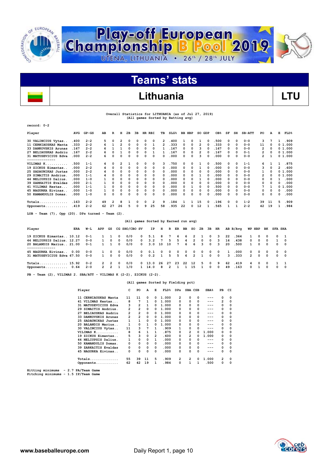

# **Teams' stats**

### Lithuania **LTU**

#### **Overall Statistics for LITHUANIA (as of Jul 27, 2019) (All games Sorted by Batting avg)**

| $record: 0-2$        |       |           |    |          |    |              |          |   |          |                |                  |    |               |    |              |                 |            |              |               |     |          |    |         |
|----------------------|-------|-----------|----|----------|----|--------------|----------|---|----------|----------------|------------------|----|---------------|----|--------------|-----------------|------------|--------------|---------------|-----|----------|----|---------|
| Player               | AVG   | $GP - GS$ | AВ | R        | н  | 2B           | 3B       |   | HR RBI   | TВ             | SLG <sup>8</sup> |    | <b>BB HBP</b> |    | SO GDP       | OB <sub>8</sub> | SF         | SH           | <b>SB-ATT</b> | PO. | A        | Е  | FLD%    |
| 30 VALINCIUS Vytas   | .400  | $2 - 2$   | 5  | 0        | 2  | 0            | $\Omega$ | 0 | 0        | 2              | 400              |    | 0             |    | 0            | .500            | 0          | $\Omega$     | $0 - 0$       | з   |          |    | .909    |
| 11 CERNIAUSKAS Manta | . 333 | $2 - 2$   | 6  | 1        | 2  | 0            | 0        | 0 |          | $\overline{2}$ | .333             | 0  | 0             | 2  | $\Omega$     | .333            | 0          | $\Omega$     | $0 - 0$       | 11  | 0        |    | 01.000  |
| 33 DANKOVSKIS Arunas | .167  | $2 - 2$   | 6  |          |    | <sup>o</sup> | 0        | 0 | $\Omega$ |                | .167             | 0  | $\Omega$      | ٩  |              | .167            | $\Omega$   | <sup>0</sup> | $0 - 0$       | 2   | $\Omega$ |    | 01.000  |
| 27 BELIAUSKAS Audriu | .167  | $2 - 2$   | 6  |          |    | 0            | 0        | 0 |          |                | 167              | 0  | $\Omega$      | 2  |              | .167            | $\Omega$   | o            | $0 - 1$       | 2   | $\Omega$ |    | 01.000  |
| 31 MATUSEVICIUS Edva | .000  | $2 - 2$   | 6  | O        | 0  | 0            | $\Omega$ | 0 | 0        | 0              | .000             | 0  | 0             | 3  | 0            | .000            | 0          | 0            | $0 - 0$       | 2   |          |    | 01.000  |
| ------------         |       |           |    |          |    |              |          |   |          |                |                  |    |               |    |              |                 |            |              |               |     |          |    |         |
| VILIMAS K            | .500  | $1 - 1$   | 4  | 0        | 2  |              | $\Omega$ | 0 | 0        | 3              | 750              | 0  | $\Omega$      |    | 0            | .500            | $\Omega$   | 0            | $1 - 1$       | 6   |          |    | .875    |
| 19 ZICKUS Eimantas   | .000  | $2 - 2$   | 4  | 0        | 0  | 0            | 0        | 0 | 0        | 0              | .000             | 0  | 0             |    | $\Omega$     | .000            | 0          | 0            | $0 - 0$       | 3   | $\Omega$ | 2  | .600    |
| 25 SADAUNIKAS Justas | .000  | $2 - 2$   | 4  | O        | 0  | 0            | 0        | 0 | 0        | n              | .000             | 0  | 0             | 0  |              | .000            | 0          | $\Omega$     | $0 - 0$       |     | 0        |    | 01.000  |
| 29 SIMAITIS Andrius. | .000  | $1 - 1$   | 4  | O        | ٥  | 0            | 0        | 0 | 0        | 0              | .000             | 0  | ŋ             |    |              | . 000           | $\Omega$   | 0            | $0 - 0$       | 2   | O        |    | 0 1.000 |
| 44 NELIUPSIS Dalius  | .000  | $1 - 0$   |    | 0        | 0  | 0            | 0        | 0 | 0        | 0              | .000             | 0  | 0             |    | <sup>0</sup> | .000            | 0          | $\Omega$     | $0 - 0$       | 0   | $\Omega$ |    | .000    |
| 39 ZARKAITIS Evaldas | .000  | $2 - 1$   |    | 0        | 0  | 0            | 0        | 0 | 0        | n              | .000             | 0  | <sup>0</sup>  | 0  | <sup>0</sup> | . 000           | 0          | $\Omega$     | $0 - 0$       | 0   | $\Omega$ | 0  | .000    |
| 41 VILIMAS Kestas    | .000  | $1 - 1$   | 1  | $\Omega$ | 0  | 0            | 0        | 0 | 0        | 0              | . 000            | 0  |               | 0  |              | . 500           | 0          | $\Omega$     | $0 - 0$       | 7   |          | n. | 1.000   |
| 45 NAGURKA Eivinas.  | .000  | $1 - 0$   |    | 0        | 0  | 0            | 0        | 0 | 0        | 0              | .000             | 0  | 0             | 0  | 0            | .000            | 0          | 0            | $0 - 0$       | 0   | 0        | 0  | .000    |
| 50 KAMANDULIS Domas. | .000  | $1 - 0$   | 0  | 0        | 0  | 0            | 0        | 0 | 0        | $\Omega$       | .000             | 0  | 0             | 0  | n            | .000            | 0          | 0            | $0 - 0$       | 0   | $\Omega$ | 0  | .000    |
| $Totals$             | .163  | $2 - 2$   | 49 | 2        | 8  |              | 0        | 0 | 2        | 9              | .184             |    |               | 15 | 0            | .196            | $^{\circ}$ | 0            | $1 - 2$       | 39  | -11      | 5. | .909    |
| Opponents            | .419  | $2 - 2$   | 62 | 27       | 26 | 5            | 0        | 9 | 25       | 58             | . 935            | 22 | 0             | 12 |              | . 565           |            |              | $2 - 2$       | 42  | 19       |    | .984    |

**LOB - Team (7), Opp (20). DPs turned - Team (2).** 

|                            |      |         |              |                |             | (All games Sorted by Earned run avg) |              |         |          |               |             |          |                          |                         |          |            |              |          |              |            |          |                |            |
|----------------------------|------|---------|--------------|----------------|-------------|--------------------------------------|--------------|---------|----------|---------------|-------------|----------|--------------------------|-------------------------|----------|------------|--------------|----------|--------------|------------|----------|----------------|------------|
| Player                     | ERA  | W-L     | APP          | GS             |             | CG SHO/CBO SV                        |              |         |          |               |             |          | IP H R ER BB SO 2B 3B HR |                         |          |            |              | AB B/Avq |              | WP HBP     | вк       | <b>SFA SHA</b> |            |
| 19 ZICKUS Eimantas 10.12   |      | $0 - 1$ |              |                | $\Omega$    | 0/0                                  | $^{\circ}$   | 5.1     | 8        | $7^{\circ}$   | 6           | 6        | $\overline{2}$           |                         | $\Omega$ | 3          | 22           | .364     | $\mathbf{1}$ |            | $\Omega$ | $^{\circ}$     |            |
| 44 NELIUPSIS Dalius. 12.27 |      | $0 - 0$ | $\mathbf{1}$ | $\Omega$       | $\Omega$    | 0/0                                  | $^{\circ}$   | 3.2     | 7        | 5.            | 5.          | 4        | 2                        | $\Omega$                | $\Omega$ | 3          | 16           | .438     |              | $0\quad 0$ | $\Omega$ |                | റ          |
| 20 BALANDIS Marius 21.00   |      | $0 - 1$ | $\mathbf{1}$ |                | $\Omega$    | 0/0                                  | $\mathbf{O}$ | 3.0     | 10       | 10            | $7^{\circ}$ | 6        | 6                        | $\overline{\mathbf{3}}$ | $\Omega$ | 3          | 20           | .500     | $\mathbf{1}$ | $\Omega$   | $\Omega$ | $^{\circ}$     | $^{\circ}$ |
|                            |      |         |              |                |             |                                      |              |         |          |               |             |          |                          |                         |          |            |              |          |              |            |          |                |            |
| 45 NAGURKA Eivinas         | 0.00 | $0 - 0$ |              | 1 0            | $\mathbf 0$ | 0/0                                  | $\mathbf{0}$ | 0.1     | $\Omega$ |               | $0\quad 0$  | $\Omega$ |                          | $0\quad 0$              | $\Omega$ | $\Omega$   | $\mathbf{1}$ | .000     |              | $0\quad 0$ | 0        | $\Omega$       | $^{\circ}$ |
| 31 MATUSEVICIUS Edva 67.50 |      | $0 - 0$ |              | 1 0            | $\Omega$    | 0/0                                  | $\mathbf{0}$ | 0.2     | 1 5      |               | 5           | 6        |                          | 2 1                     | $\Omega$ | $\Omega$   |              | 3.333    | 2            | $\Omega$   | 0        | 0              | $^{\circ}$ |
| Totals 15.92               |      | $0 - 2$ |              | $2 \quad 2$    | $\Omega$    | 0/0                                  |              | 0, 13.0 | -26      | - 27          | - 23        | - 22     | 12                       | 5.                      | $\Omega$ | - 9        | 62           | .419     | 4            | $\Omega$   | $\Omega$ |                |            |
| Opponents 0.64             |      | $2 - 0$ | $2^{\circ}$  | $\overline{2}$ |             | 1/0                                  |              | 14.0    | 8        | $\mathcal{P}$ |             |          | 15                       |                         | 0        | $^{\circ}$ | 49           | .163     | $^{\circ}$   |            | $\Omega$ | <sup>o</sup>   | റ          |

**PB - Team (2), VILIMAS 2. SBA/ATT - VILIMAS K (2-2), ZICKUS (2-2).** 

#### **(All games Sorted by Fielding pct)**

| Player                         | c              | PO             | A        | Е            | FLD%  | DPs          | SBA CSB |              | SBA <sup>8</sup> | PB | CI       |
|--------------------------------|----------------|----------------|----------|--------------|-------|--------------|---------|--------------|------------------|----|----------|
| CERNIAUSKAS Manta<br>11        | 11             | 11             | 0        | 0            | 1.000 | 2            | 0       | 0            |                  | 0  | 0        |
| VILIMAS Kestas<br>41           | 8              | 7              | 1        | 0            | 1.000 | 0            | 0       | 0            | ---              | 2  | $\Omega$ |
| 31 MATUSEVICIUS Edva           | 3              | $\overline{2}$ | 1        | 0            | 1.000 | 0            | 0       | 0            | ---              | 0  | $\Omega$ |
| SIMAITIS Andrius.<br>29        | $\overline{2}$ | $\overline{2}$ | $\Omega$ | 0            | 1.000 | 0            | 0       | 0            | ---              | 0  | $\Omega$ |
| <b>BELIAUSKAS Audriu</b><br>27 | 2              | $\overline{2}$ | 0        | 0            | 1.000 | 0            | 0       | 0            | ---              | 0  | $\Omega$ |
| DANKOVSKIS Arunas<br>33        | $\overline{2}$ | $\overline{2}$ | 0        | 0            | 1.000 | 0            | 0       | 0            | ---              | 0  | $\Omega$ |
| 25 SADAUNIKAS Justas           |                | 1              | $\Omega$ | 0            | 1.000 | 0            | 0       | 0            | ---              | 0  | 0        |
| 20 BALANDIS Marius             | 1              | 0              | 1        | <sup>0</sup> | 1.000 | <sup>o</sup> | 0       | <sup>o</sup> | ---              | 0  | 0        |
| 30 VALINCIUS Vytas             | 11             | 3              | 7        | 1            | .909  | 1            | 0       | 0            | ---              | 0  | $\Omega$ |
| VILIMAS K                      | 8              | 6              | 1        | 1            | .875  | 0            | 2       | 0            | 1.000            | 0  | $\Omega$ |
| 19 ZICKUS Eimantas             | 5              | 3              | 0        | 2            | .600  | 0            | 2       | 0            | 1.000            | 0  | $\Omega$ |
| NELIUPSIS Dalius.<br>44        | 1              | 0              | 0        | 1            | .000  | 0            | 0       | 0            | $---$            | 0  | $\Omega$ |
| KAMANDULIS Domas.<br>50        | 0              | 0              | 0        | 0            | .000  | 0            | 0       | 0            | ---              | 0  | 0        |
| 39 ZARKAITIS Evaldas           | 0              | 0              | 0        | 0            | .000  | 0            | 0       | 0            | ---              | 0  | $\Omega$ |
| 45 NAGURKA Eivinas             | 0              | 0              | 0        | 0            | .000  | 0            | 0       | 0            | ---              | 0  | $\Omega$ |
| $Totals$                       | 55             | 39             | 11       | 5            | .909  | 2            | 2       | 0            | 1.000            | 2  | $\Omega$ |
| Opponents                      | 62             | 42             | 19       | 1            | .984  | 0            |         |              | .500             | 0  | $\Omega$ |

**Hitting minimums - 2.7 PA/Team Game Pitching minimums - 1.5 IP/Team Game**